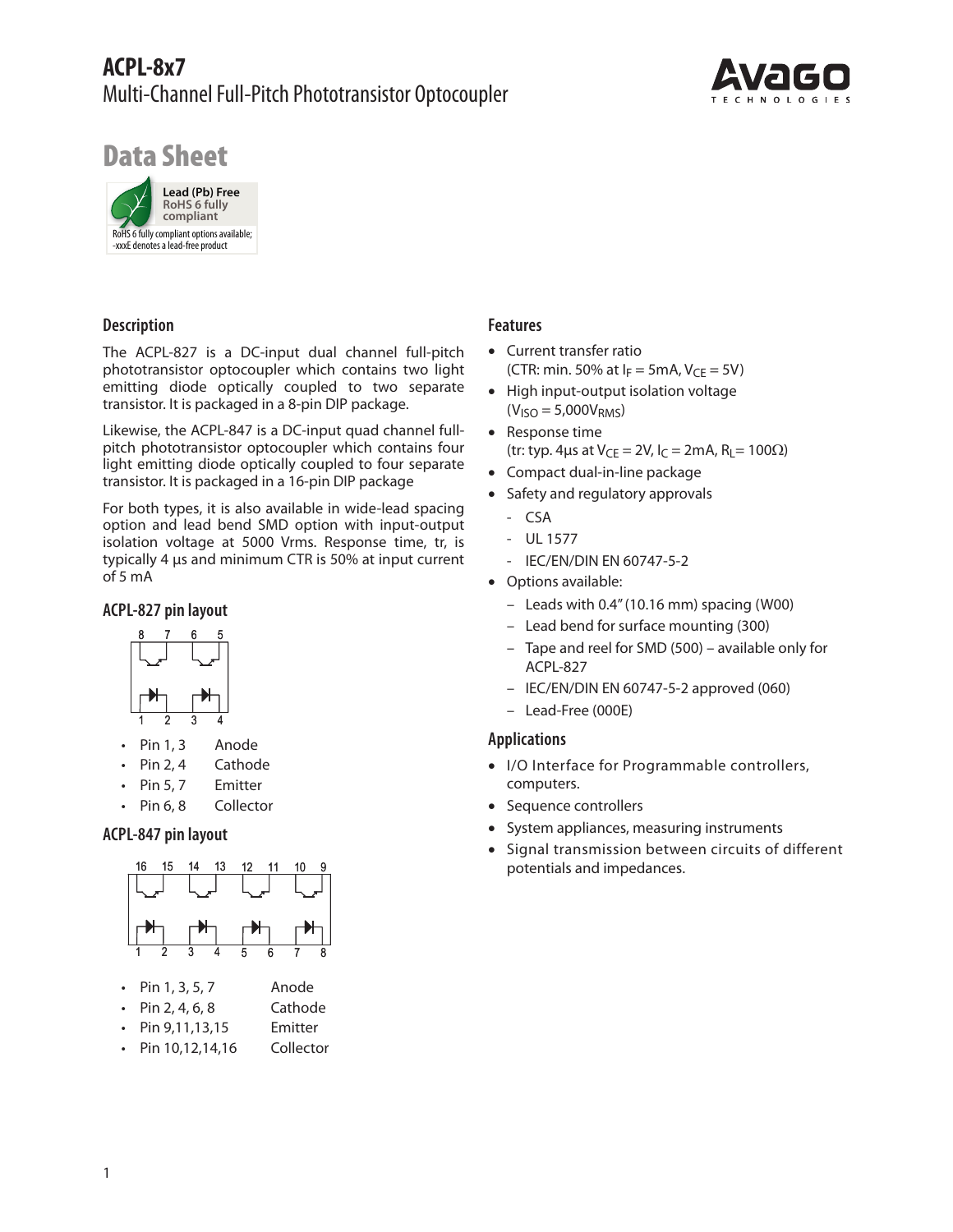# **ACPL-8x7** Multi-Channel Full-Pitch Phototransistor Optocoupler



# Data Sheet



# **Description**

The ACPL-827 is a DC-input dual channel full-pitch phototransistor optocoupler which contains two light emitting diode optically coupled to two separate transistor. It is packaged in a 8-pin DIP package.

Likewise, the ACPL-847 is a DC-input quad channel fullpitch phototransistor optocoupler which contains four light emitting diode optically coupled to four separate transistor. It is packaged in a 16-pin DIP package

For both types, it is also available in wide-lead spacing option and lead bend SMD option with input-output isolation voltage at 5000 Vrms. Response time, tr, is typically 4 μs and minimum CTR is 50% at input current of 5 mA

# **ACPL-827 pin layout**



- Pin 1, 3 Anode
- • Pin 2, 4 Cathode
- • Pin 5, 7 Emitter
- • Pin 6, 8 Collector

# **ACPL-847 pin layout**



## **Features**

- Current transfer ratio (CTR: min. 50% at  $I_F = 5$ mA,  $V_{CF} = 5V$ )
- High input-output isolation voltage  $(V<sub>ISO</sub> = 5,000V<sub>RMS</sub>)$
- Response time (tr: typ. 4µs at  $V_{CE} = 2V$ ,  $I_C = 2mA$ ,  $R_L = 100\Omega$ )
- Compact dual-in-line package
- Safety and regulatory approvals
	- CSA
	- UL 1577
	- IEC/EN/DIN EN 60747-5-2
- Options available:
	- Leads with 0.4" (10.16 mm) spacing (W00)
	- Lead bend for surface mounting (300)
	- Tape and reel for SMD (500) available only for ACPL-827
	- IEC/EN/DIN EN 60747-5-2 approved (060)
	- Lead-Free (000E)

## **Applications**

- I/O Interface for Programmable controllers, computers.
- Sequence controllers
- System appliances, measuring instruments
- Signal transmission between circuits of different potentials and impedances.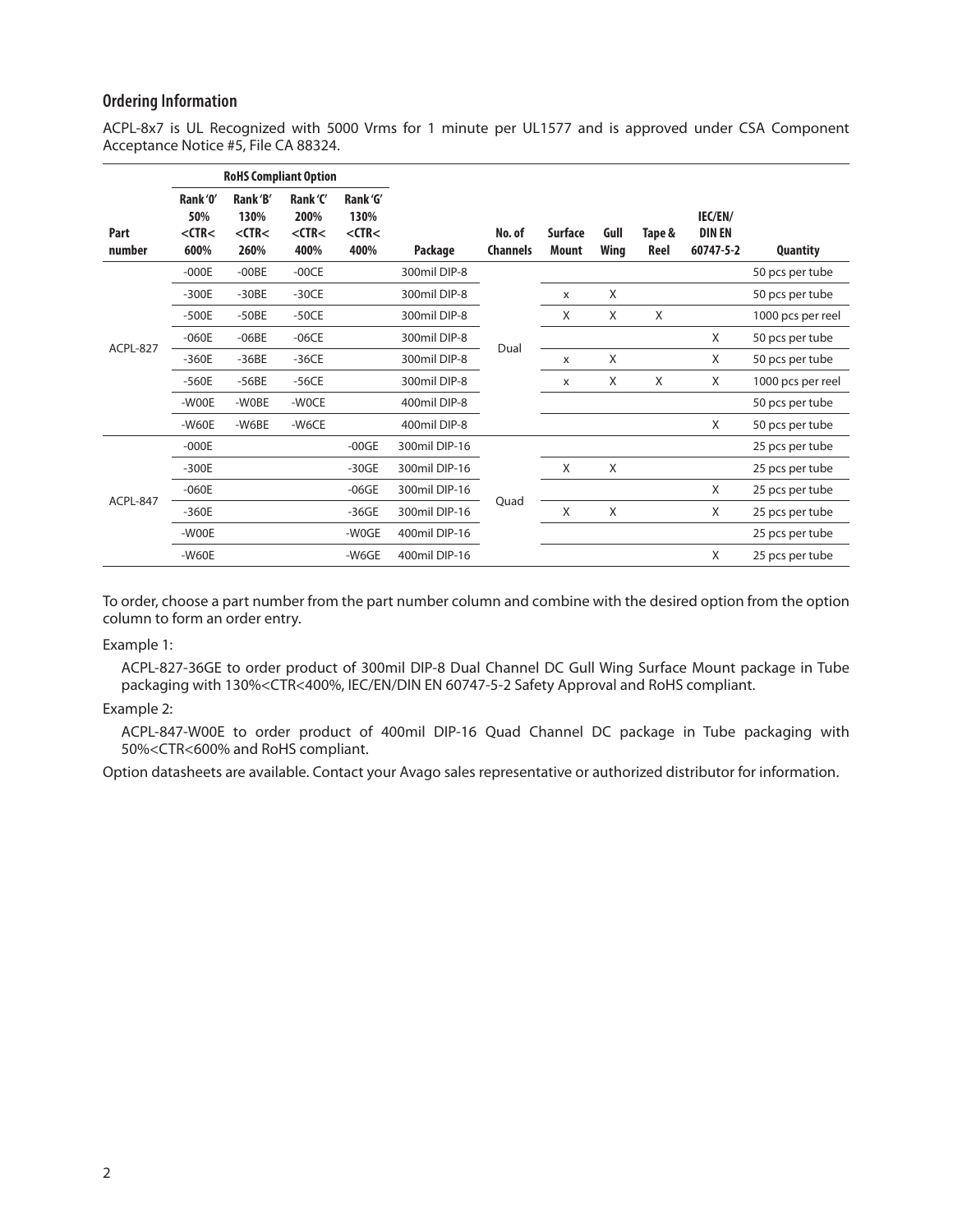#### **Ordering Information**

ACPL-8x7 is UL Recognized with 5000 Vrms for 1 minute per UL1577 and is approved under CSA Component Acceptance Notice #5, File CA 88324.

|                | <b>RoHS Compliant Option</b>           |                                        |                                         |                                         |               |                           |                         |              |                |                                       |                   |
|----------------|----------------------------------------|----------------------------------------|-----------------------------------------|-----------------------------------------|---------------|---------------------------|-------------------------|--------------|----------------|---------------------------------------|-------------------|
| Part<br>number | Rank '0'<br>50%<br>$<$ CTR $<$<br>600% | Rank'B'<br>130%<br>$<$ CTR $<$<br>260% | Rank 'C'<br>200%<br>$<$ CTR $<$<br>400% | Rank 'G'<br>130%<br>$<$ CTR $<$<br>400% | Package       | No. of<br><b>Channels</b> | <b>Surface</b><br>Mount | Gull<br>Wing | Tape &<br>Reel | IEC/EN/<br><b>DIN EN</b><br>60747-5-2 | <b>Quantity</b>   |
| ACPL-827       | $-000E$                                | $-00BE$                                | $-00CE$                                 |                                         | 300mil DIP-8  |                           |                         |              |                |                                       | 50 pcs per tube   |
|                | $-300E$                                | $-30BE$                                | $-30CE$                                 |                                         | 300mil DIP-8  |                           | X                       | X            |                |                                       | 50 pcs per tube   |
|                | $-500E$                                | $-50BE$                                | $-50CE$                                 |                                         | 300mil DIP-8  |                           | X                       | X            | X              |                                       | 1000 pcs per reel |
|                | $-060E$                                | $-06BE$                                | $-06CE$                                 |                                         | 300mil DIP-8  | Dual                      |                         |              |                | X                                     | 50 pcs per tube   |
|                | $-360E$                                | $-36BE$                                | $-36CE$                                 |                                         | 300mil DIP-8  |                           | X                       | X            |                | X                                     | 50 pcs per tube   |
|                | $-560E$                                | $-56BE$                                | $-56CE$                                 |                                         | 300mil DIP-8  |                           | X                       | X            | X              | X                                     | 1000 pcs per reel |
|                | -WOOE                                  | -WOBE                                  | -WOCE                                   |                                         | 400mil DIP-8  |                           |                         |              |                |                                       | 50 pcs per tube   |
|                | $-W60E$                                | -W6BE                                  | -W6CE                                   |                                         | 400mil DIP-8  |                           |                         |              |                | X                                     | 50 pcs per tube   |
| ACPL-847       | $-000E$                                |                                        |                                         | $-00$ GE                                | 300mil DIP-16 |                           |                         |              |                |                                       | 25 pcs per tube   |
|                | $-300E$                                |                                        |                                         | $-30GE$                                 | 300mil DIP-16 |                           | X                       | X            |                |                                       | 25 pcs per tube   |
|                | $-060E$                                |                                        |                                         | $-06GE$                                 | 300mil DIP-16 | Quad                      |                         |              |                | X                                     | 25 pcs per tube   |
|                | $-360E$                                |                                        |                                         | $-36GE$                                 | 300mil DIP-16 |                           | X                       | Χ            |                | X                                     | 25 pcs per tube   |
|                | $-WOOE$                                |                                        |                                         | -W0GE                                   | 400mil DIP-16 |                           |                         |              |                |                                       | 25 pcs per tube   |
|                | $-W60E$                                |                                        |                                         | -W6GE                                   | 400mil DIP-16 |                           |                         |              |                | X                                     | 25 pcs per tube   |

To order, choose a part number from the part number column and combine with the desired option from the option column to form an order entry.

Example 1:

ACPL-827-36GE to order product of 300mil DIP-8 Dual Channel DC Gull Wing Surface Mount package in Tube packaging with 130%<CTR<400%, IEC/EN/DIN EN 60747-5-2 Safety Approval and RoHS compliant.

#### Example 2:

ACPL-847-W00E to order product of 400mil DIP-16 Quad Channel DC package in Tube packaging with 50%<CTR<600% and RoHS compliant.

Option datasheets are available. Contact your Avago sales representative or authorized distributor for information.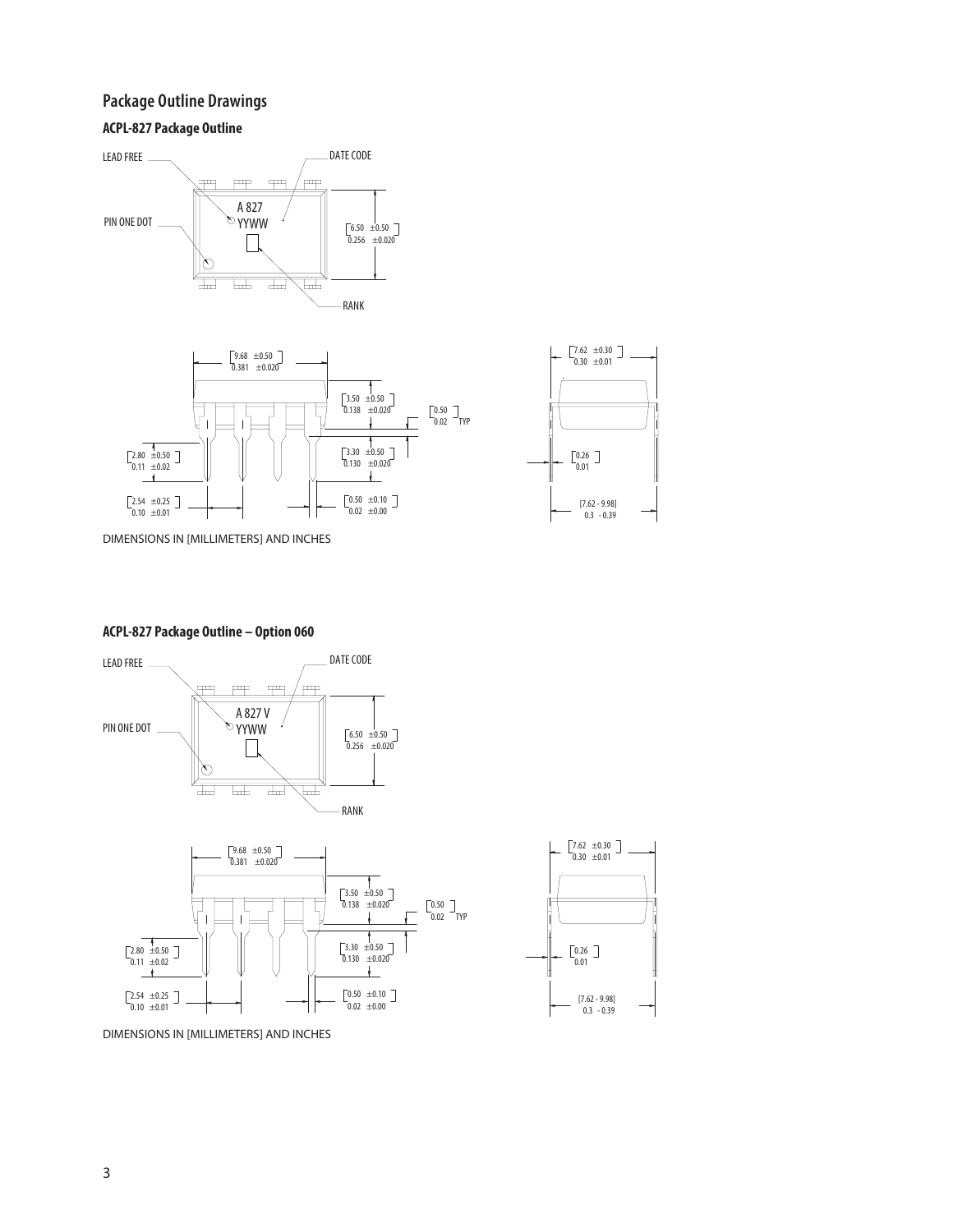# **Package Outline Drawings**

## **ACPL-827 Package Outline**







DIMENSIONS IN [MILLIMETERS] AND INCHES

#### **ACPL-827 Package Outline – Option 060**



DIMENSIONS IN [MILLIMETERS] AND INCHES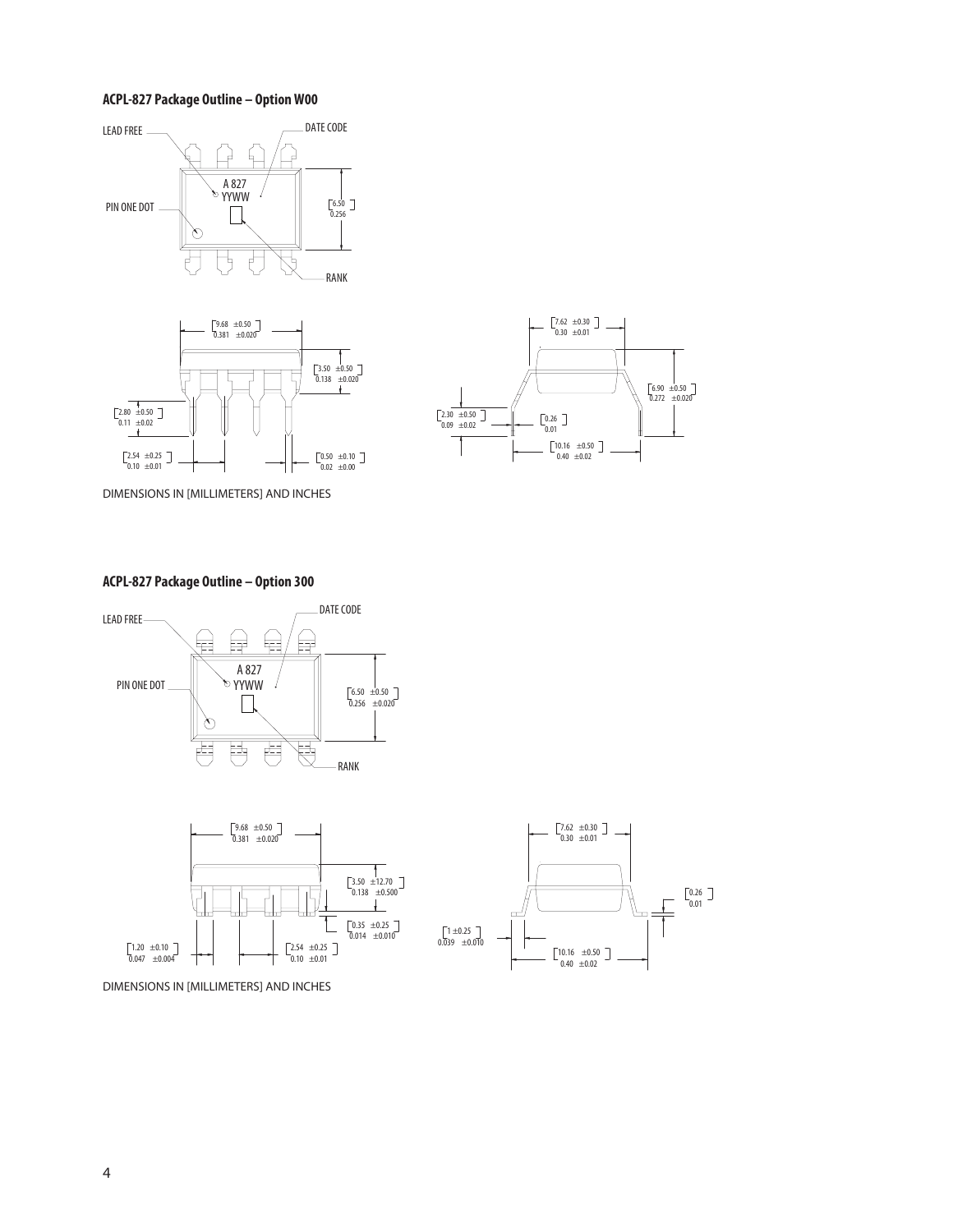#### **ACPL-827 Package Outline – Option W00**







 $0.40 \pm 0.02$  $\begin{bmatrix} 10.16 & \pm 0.50 \end{bmatrix}$ 

 $\begin{bmatrix} 1 \pm 0.25 \\ \pm 0.010 \end{bmatrix}$ 

 $0.26$ <br> $0.01$ 

DIMENSIONS IN [MILLIMETERS] AND INCHES





 $2.54 \pm 0.25$ <br>0.10  $\pm 0.01$ 

DIMENSIONS IN [MILLIMETERS] AND INCHES

 $\frac{1}{0.047}$   $\pm 0.10$ <br> $\frac{1}{0.047}$   $\pm 0.004$ 

### **ACPL-827 Package Outline – Option 300**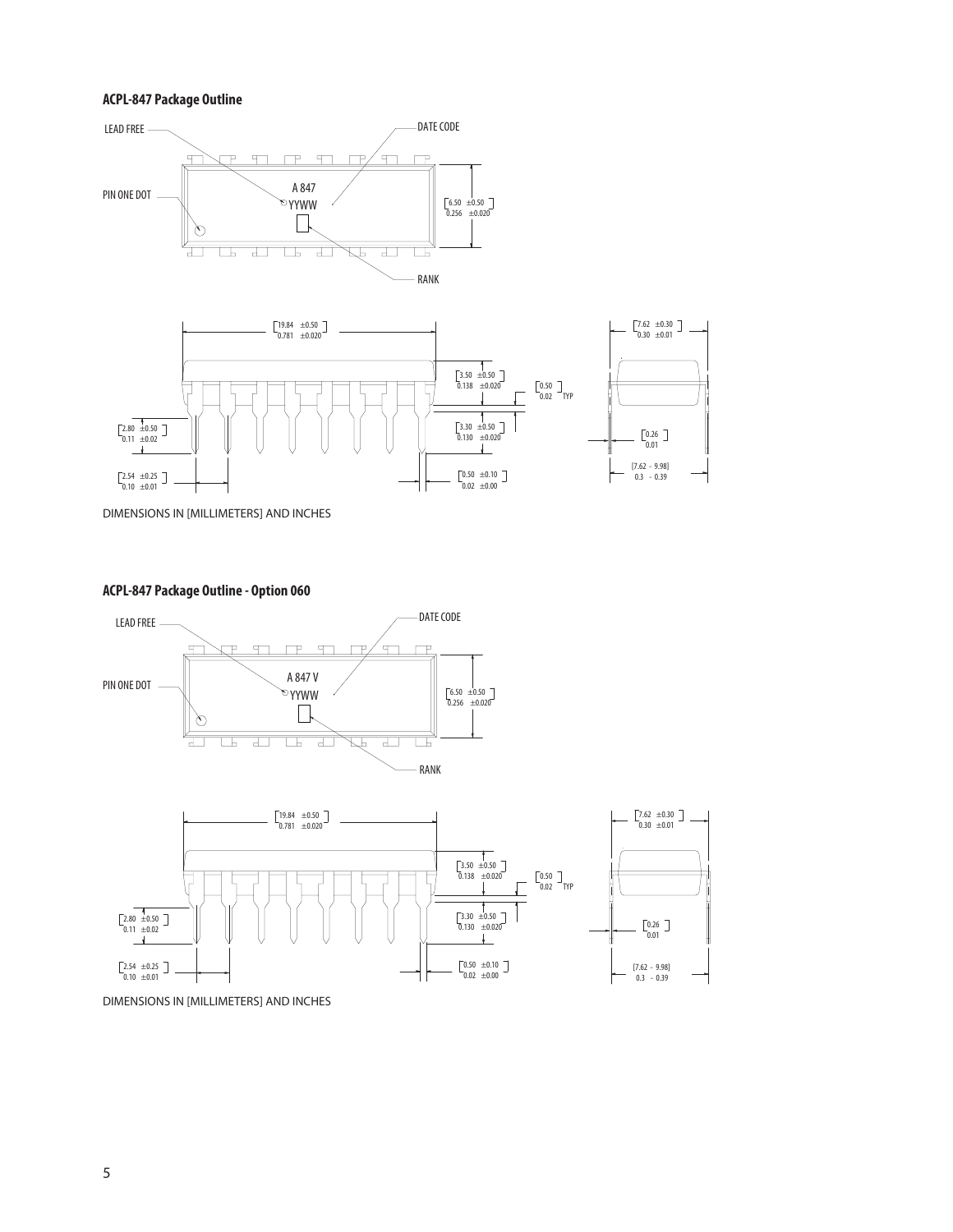#### **ACPL-847 Package Outline**





DIMENSIONS IN [MILLIMETERS] AND INCHES

#### **ACPL-847 Package Outline - Option 060**





DIMENSIONS IN [MILLIMETERS] AND INCHES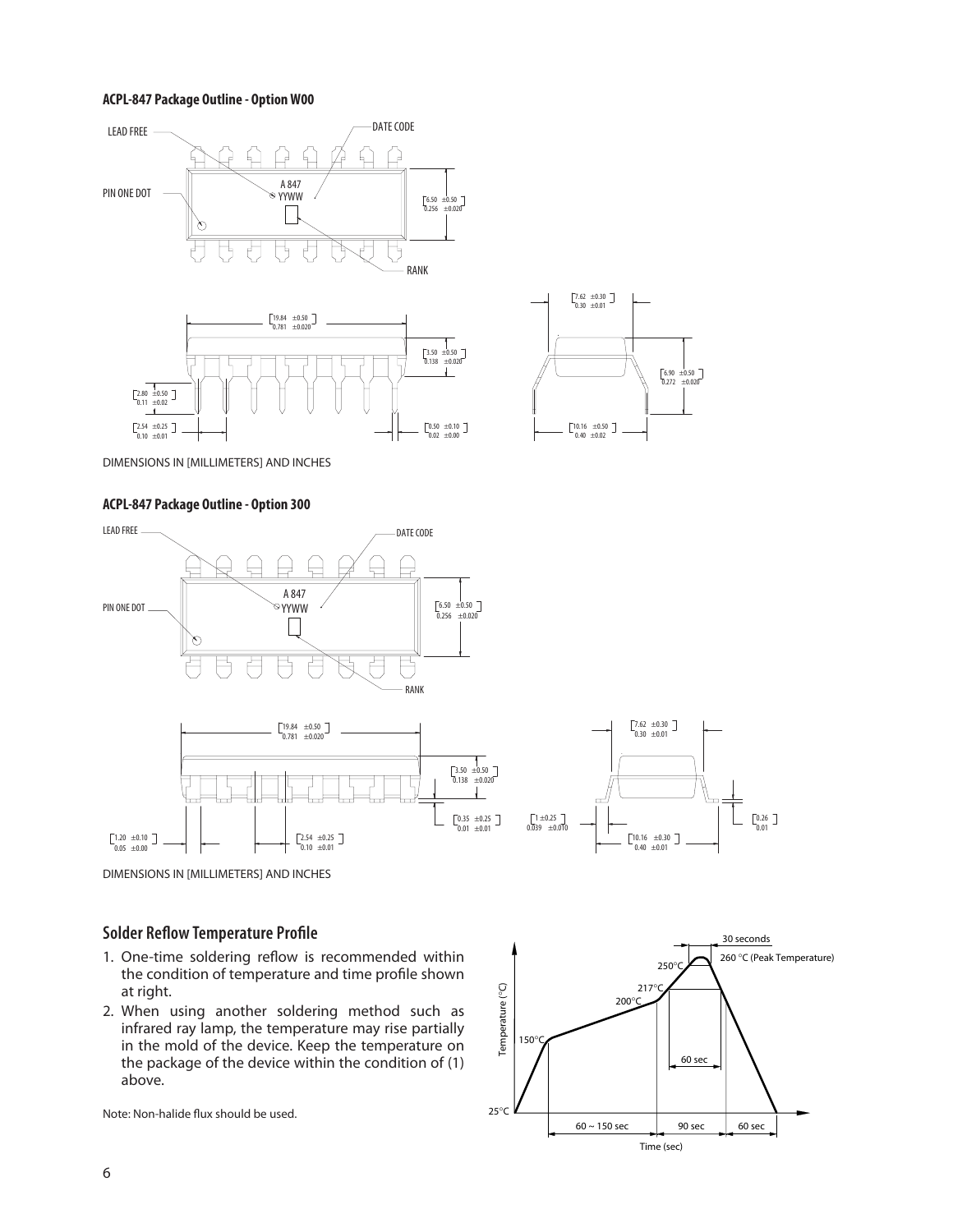#### **ACPL-847 Package Outline - Option W00**







DIMENSIONS IN [MILLIMETERS] AND INCHES

#### **ACPL-847 Package Outline - Option 300**



# **Solder Reflow Temperature Profile**

- 1. One-time soldering reflow is recommended within the condition of temperature and time profile shown at right.
- 2. When using another soldering method such as infrared ray lamp, the temperature may rise partially in the mold of the device. Keep the temperature on the package of the device within the condition of (1) above.

Note: Non-halide flux should be used.



 $0.26$ <br> $0.01$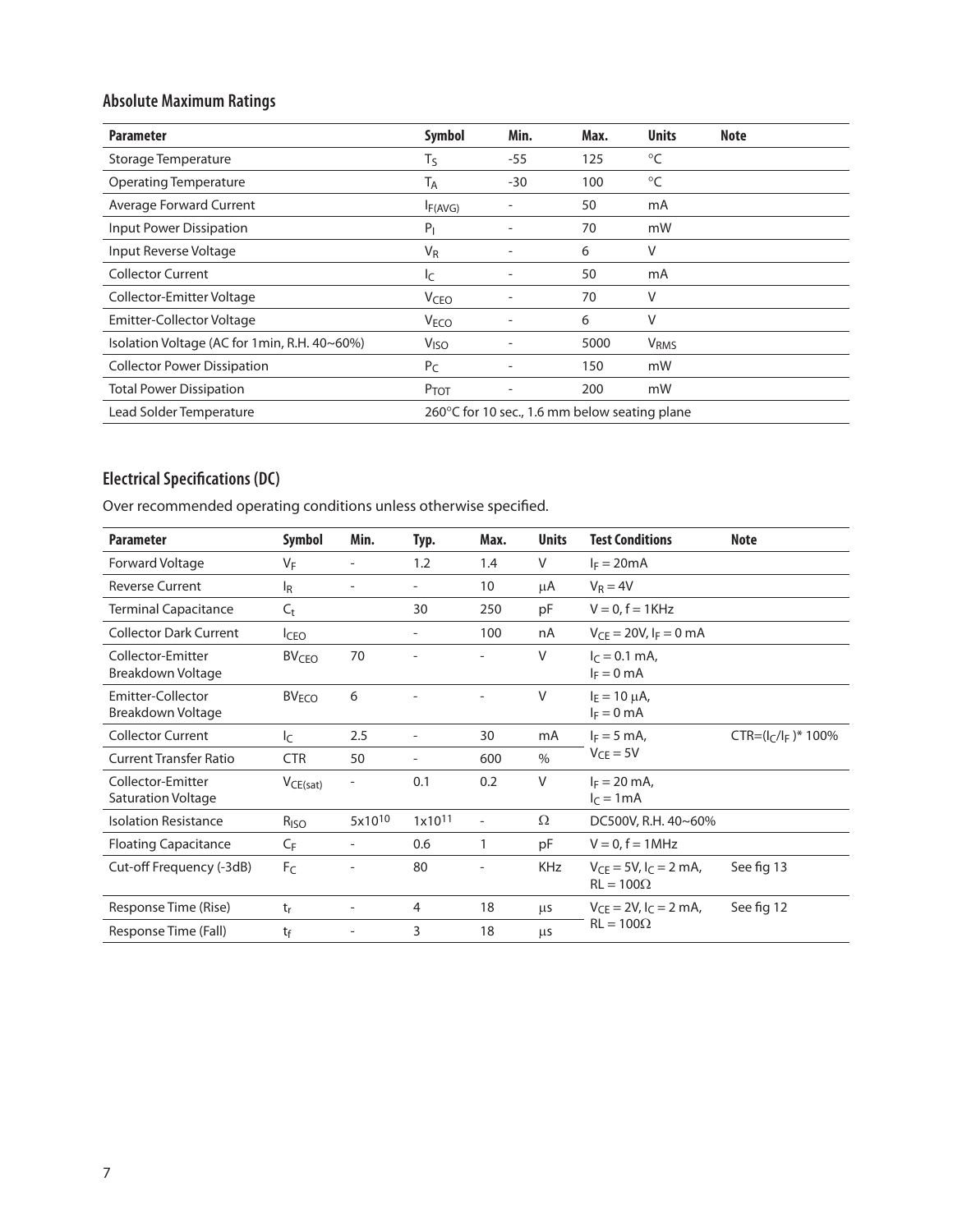# **Absolute Maximum Ratings**

| <b>Parameter</b>                             | <b>Symbol</b>           | Min.                                          | Max. | <b>Units</b>           | Note |  |
|----------------------------------------------|-------------------------|-----------------------------------------------|------|------------------------|------|--|
| Storage Temperature                          | $T_S$                   | $-55$                                         | 125  | °C                     |      |  |
| <b>Operating Temperature</b>                 | Tд                      | $-30$                                         | 100  | °C                     |      |  |
| Average Forward Current                      | IF(AVG)                 |                                               | 50   | mA                     |      |  |
| Input Power Dissipation                      | $P_1$                   |                                               | 70   | mW                     |      |  |
| Input Reverse Voltage                        | $V_{R}$                 |                                               | 6    | ٧                      |      |  |
| <b>Collector Current</b>                     | I <sub>C</sub>          |                                               | 50   | mA                     |      |  |
| Collector-Emitter Voltage                    | <b>V</b> <sub>CEO</sub> |                                               | 70   | V                      |      |  |
| <b>Emitter-Collector Voltage</b>             | <b>VECO</b>             |                                               | 6    | ٧                      |      |  |
| Isolation Voltage (AC for 1min, R.H. 40~60%) | V <sub>ISO</sub>        |                                               | 5000 | <b>V<sub>RMS</sub></b> |      |  |
| <b>Collector Power Dissipation</b>           | $P_C$                   |                                               | 150  | mW                     |      |  |
| <b>Total Power Dissipation</b>               | P <sub>TOT</sub>        |                                               | 200  | mW                     |      |  |
| Lead Solder Temperature                      |                         | 260°C for 10 sec., 1.6 mm below seating plane |      |                        |      |  |

# **Electrical Specifications (DC)**

Over recommended operating conditions unless otherwise specified.

| <b>Parameter</b>                        | Symbol                  | Min.                     | Typ.                     | Max.                     | <b>Units</b>  | <b>Test Conditions</b>                            | <b>Note</b>               |
|-----------------------------------------|-------------------------|--------------------------|--------------------------|--------------------------|---------------|---------------------------------------------------|---------------------------|
| Forward Voltage                         | VF                      | $\overline{\phantom{a}}$ | 1.2                      | 1.4                      | V             | $I_F = 20mA$                                      |                           |
| <b>Reverse Current</b>                  | $I_R$                   |                          |                          | 10                       | μA            | $V_R = 4V$                                        |                           |
| <b>Terminal Capacitance</b>             | $C_{t}$                 |                          | 30                       | 250                      | pF            | $V = 0$ , $f = 1$ KHz                             |                           |
| <b>Collector Dark Current</b>           | <b>I</b> CEO            |                          | $\overline{\phantom{a}}$ | 100                      | nA            | $V_{CF} = 20V$ , $I_F = 0$ mA                     |                           |
| Collector-Emitter<br>Breakdown Voltage  | <b>BV<sub>CEO</sub></b> | 70                       |                          |                          | V             | $I_C = 0.1$ mA,<br>$I_F = 0$ mA                   |                           |
| Emitter-Collector<br>Breakdown Voltage  | <b>BV<sub>ECO</sub></b> | 6                        |                          | $\overline{a}$           | V             | $I_F = 10 \mu A$ ,<br>$I_F = 0$ mA                |                           |
| <b>Collector Current</b>                | I <sub>C</sub>          | 2.5                      |                          | 30                       | mA            | $I_F = 5$ mA,                                     | $CTR = (I_C/I_F)^* 100\%$ |
| <b>Current Transfer Ratio</b>           | <b>CTR</b>              | 50                       | $\overline{\phantom{a}}$ | 600                      | $\frac{0}{0}$ | $V_{CE} = 5V$                                     |                           |
| Collector-Emitter<br>Saturation Voltage | $V_{CE(sat)}$           |                          | 0.1                      | 0.2                      | $\vee$        | $I_F = 20$ mA,<br>$I_C = 1mA$                     |                           |
| <b>Isolation Resistance</b>             | R <sub>ISO</sub>        | 5x10 <sup>10</sup>       | $1x10^{11}$              | $\overline{\phantom{a}}$ | Ω             | DC500V, R.H. 40~60%                               |                           |
| <b>Floating Capacitance</b>             | СF                      |                          | 0.6                      | 1                        | pF            | $V = 0$ , $f = 1$ MHz                             |                           |
| Cut-off Frequency (-3dB)                | F <sub>C</sub>          |                          | 80                       |                          | <b>KHz</b>    | $V_{CF} = 5V$ , $I_C = 2$ mA,<br>$RL = 100\Omega$ | See fig 13                |
| Response Time (Rise)                    | $t_{r}$                 | $\overline{a}$           | 4                        | 18                       | μs            | $V_{CE} = 2V$ , $I_C = 2$ mA,                     | See fig 12                |
| Response Time (Fall)                    | tf                      |                          | 3                        | 18                       | μs            | $RL = 100\Omega$                                  |                           |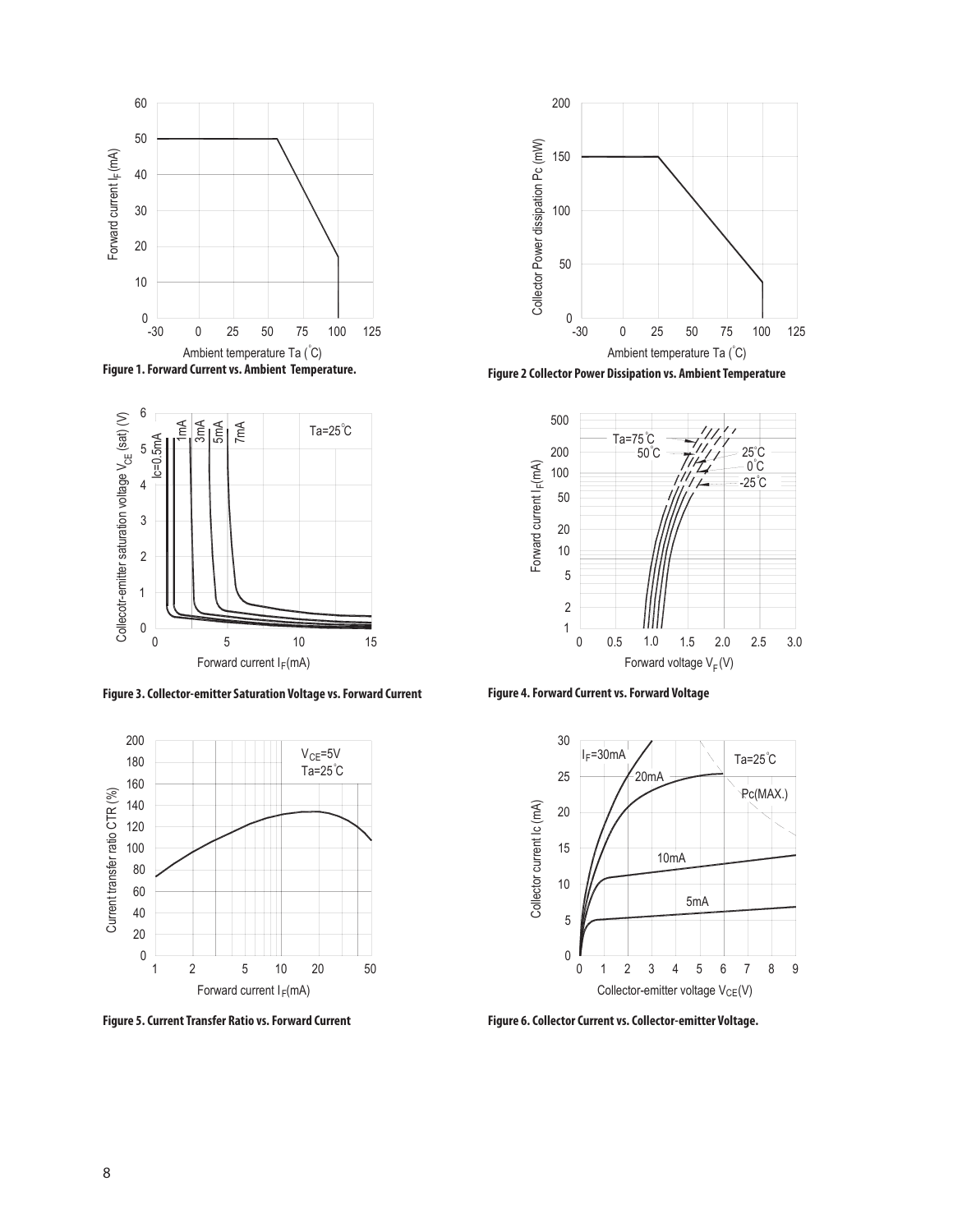





**Figure 3. Collector-emitter Saturation Voltage vs. Forward Current Figure 4. Forward Current vs. Forward Voltage**





**Figure 1. Forward Current vs. Ambient Temperature. Figure 2 Collector Power Dissipation vs. Ambient Temperature**





**Figure 5. Current Transfer Ratio vs. Forward Current Figure 6. Collector Current vs. Collector-emitter Voltage.**